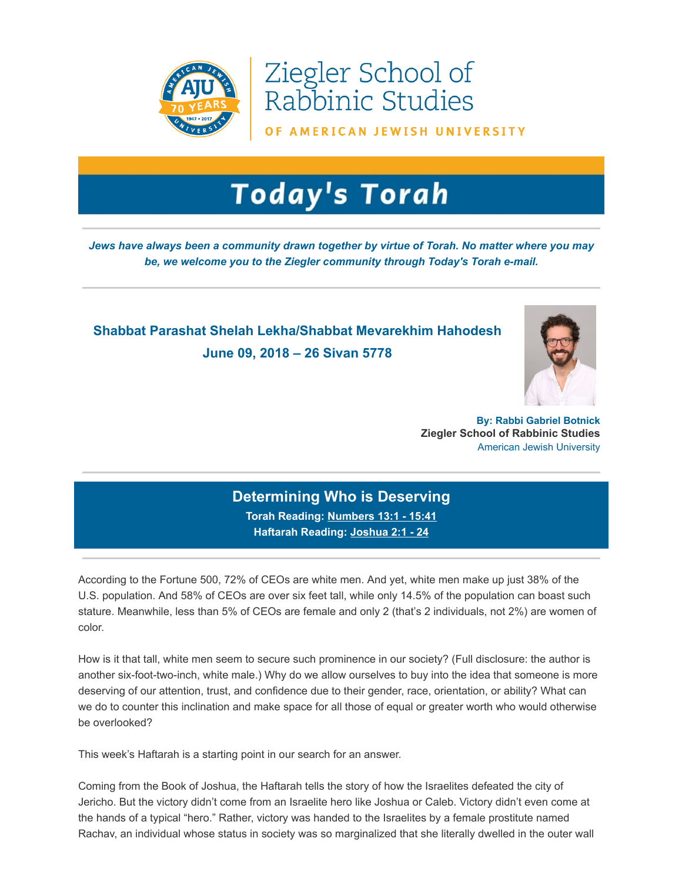

Ziegler School of Rabbinic Studies

OF AMERICAN JEWISH UNIVERSITY

## **Today's Torah**

Jews have always been a community drawn together by virtue of Torah. No matter where you may be, we welcome you to the Ziegler community through Today's Torah e-mail.

## Shabbat Parashat Shelah Lekha/Shabbat Mevarekhim Hahodesh June 09, 2018 – 26 Sivan 5778



By: Rabbi Gabriel Botnick Ziegler School of Rabbinic Studies American Jewish University

## Determining Who is Deserving Torah Reading: [Numbers 1](https://t.e2ma.net/click/cjfex/sziwr0/s3xeji)3:1 - 15:41

Haftarah Reading: [Joshua 2:1 - 24](https://t.e2ma.net/click/cjfex/sziwr0/oozeji)

According to the Fortune 500, 72% of CEOs are white men. And yet, white men make up just 38% of the U.S. population. And 58% of CEOs are over six feet tall, while only 14.5% of the population can boast such stature. Meanwhile, less than 5% of CEOs are female and only 2 (that's 2 individuals, not 2%) are women of color.

How is it that tall, white men seem to secure such prominence in our society? (Full disclosure: the author is another six-foot-two-inch, white male.) Why do we allow ourselves to buy into the idea that someone is more deserving of our attention, trust, and confidence due to their gender, race, orientation, or ability? What can we do to counter this inclination and make space for all those of equal or greater worth who would otherwise be overlooked?

This week's Haftarah is a starting point in our search for an answer.

Coming from the Book of Joshua, the Haftarah tells the story of how the Israelites defeated the city of Jericho. But the victory didn't come from an Israelite hero like Joshua or Caleb. Victory didn't even come at the hands of a typical "hero." Rather, victory was handed to the Israelites by a female prostitute named Rachav, an individual whose status in society was so marginalized that she literally dwelled in the outer wall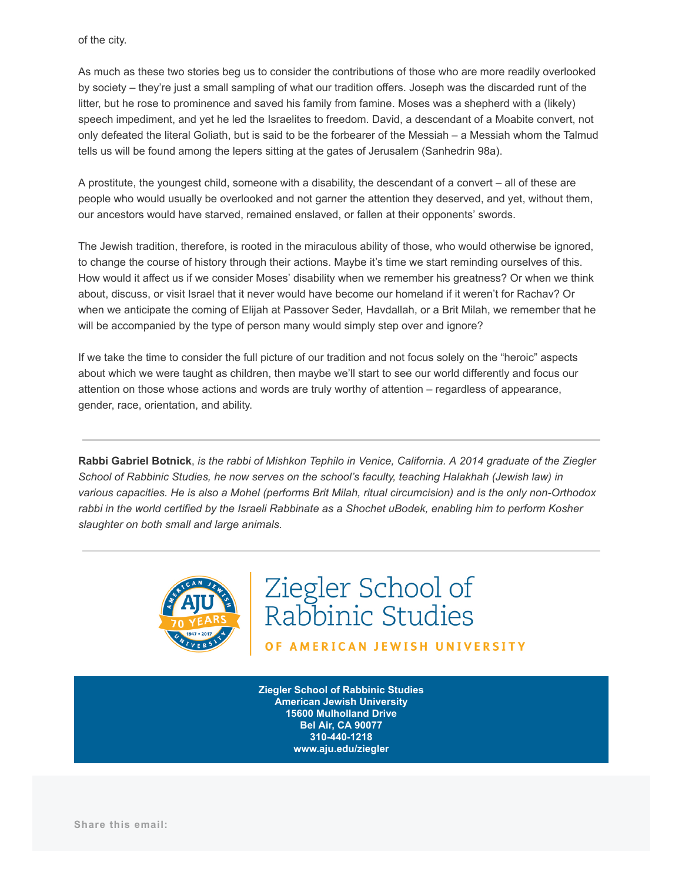of the city.

As much as these two stories beg us to consider the contributions of those who are more readily overlooked by society – they're just a small sampling of what our tradition offers. Joseph was the discarded runt of the litter, but he rose to prominence and saved his family from famine. Moses was a shepherd with a (likely) speech impediment, and yet he led the Israelites to freedom. David, a descendant of a Moabite convert, not only defeated the literal Goliath, but is said to be the forbearer of the Messiah – a Messiah whom the Talmud tells us will be found among the lepers sitting at the gates of Jerusalem (Sanhedrin 98a).

A prostitute, the youngest child, someone with a disability, the descendant of a convert – all of these are people who would usually be overlooked and not garner the attention they deserved, and yet, without them, our ancestors would have starved, remained enslaved, or fallen at their opponents' swords.

The Jewish tradition, therefore, is rooted in the miraculous ability of those, who would otherwise be ignored, to change the course of history through their actions. Maybe it's time we start reminding ourselves of this. How would it affect us if we consider Moses' disability when we remember his greatness? Or when we think about, discuss, or visit Israel that it never would have become our homeland if it weren't for Rachav? Or when we anticipate the coming of Elijah at Passover Seder, Havdallah, or a Brit Milah, we remember that he will be accompanied by the type of person many would simply step over and ignore?

If we take the time to consider the full picture of our tradition and not focus solely on the "heroic" aspects about which we were taught as children, then maybe we'll start to see our world differently and focus our attention on those whose actions and words are truly worthy of attention – regardless of appearance, gender, race, orientation, and ability.

Rabbi Gabriel Botnick, is the rabbi of Mishkon Tephilo in Venice, California. A 2014 graduate of the Ziegler School of Rabbinic Studies, he now serves on the school's faculty, teaching Halakhah (Jewish law) in various capacities. He is also a Mohel (performs Brit Milah, ritual circumcision) and is the only non-Orthodox rabbi in the world certified by the Israeli Rabbinate as a Shochet uBodek, enabling him to perform Kosher slaughter on both small and large animals.



Ziegler School of<br>Rabbinic Studies

OF AMERICAN JEWISH UNIVERSITY

Ziegler School of Rabbinic Studies American Jewish University 15600 Mulholland Drive Bel Air, CA 90077 310-440-1218 www.aju.edu/ziegler